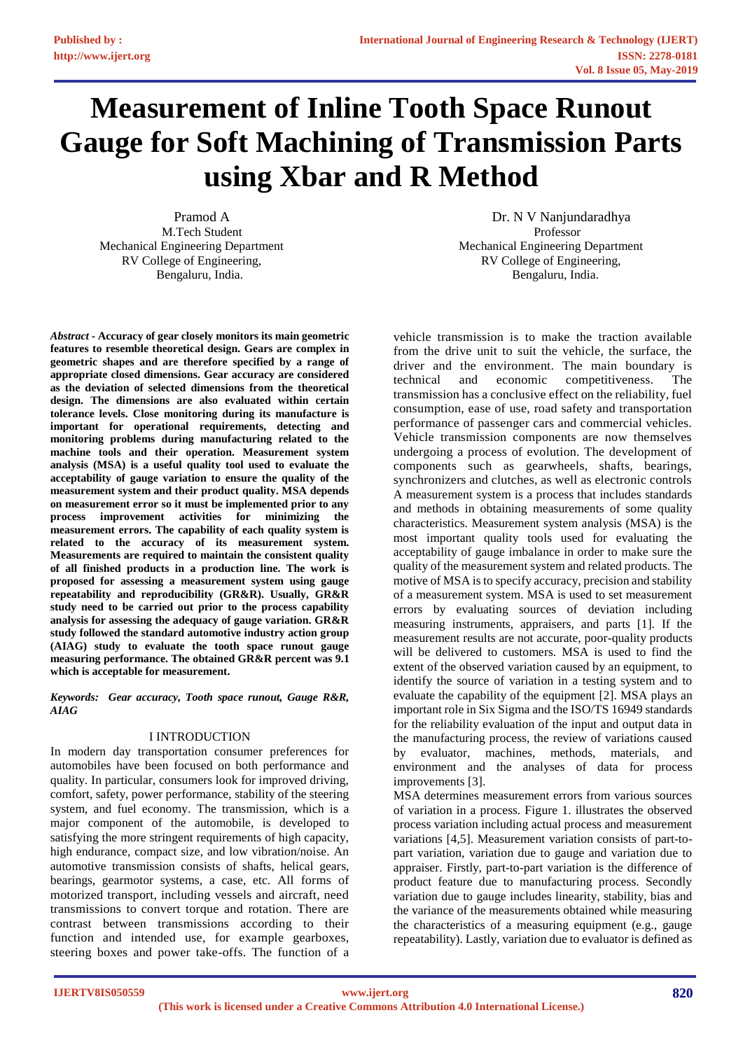# **Measurement of Inline Tooth Space Runout Gauge for Soft Machining of Transmission Parts using Xbar and R Method**

M.Tech Student Professor RV College of Engineering, RV College of Engineering,

*Abstract* **- Accuracy of gear closely monitors its main geometric features to resemble theoretical design. Gears are complex in geometric shapes and are therefore specified by a range of appropriate closed dimensions. Gear accuracy are considered as the deviation of selected dimensions from the theoretical design. The dimensions are also evaluated within certain tolerance levels. Close monitoring during its manufacture is important for operational requirements, detecting and monitoring problems during manufacturing related to the machine tools and their operation. Measurement system analysis (MSA) is a useful quality tool used to evaluate the acceptability of gauge variation to ensure the quality of the measurement system and their product quality. MSA depends on measurement error so it must be implemented prior to any process improvement activities for minimizing the measurement errors. The capability of each quality system is related to the accuracy of its measurement system. Measurements are required to maintain the consistent quality of all finished products in a production line. The work is proposed for assessing a measurement system using gauge repeatability and reproducibility (GR&R). Usually, GR&R study need to be carried out prior to the process capability analysis for assessing the adequacy of gauge variation. GR&R study followed the standard automotive industry action group (AIAG) study to evaluate the tooth space runout gauge measuring performance. The obtained GR&R percent was 9.1 which is acceptable for measurement.**

*Keywords: Gear accuracy, Tooth space runout, Gauge R&R, AIAG*

# I INTRODUCTION

In modern day transportation consumer preferences for automobiles have been focused on both performance and quality. In particular, consumers look for improved driving, comfort, safety, power performance, stability of the steering system, and fuel economy. The transmission, which is a major component of the automobile, is developed to satisfying the more stringent requirements of high capacity, high endurance, compact size, and low vibration/noise. An automotive transmission consists of shafts, helical gears, bearings, gearmotor systems, a case, etc. All forms of motorized transport, including vessels and aircraft, need transmissions to convert torque and rotation. There are contrast between transmissions according to their function and intended use, for example gearboxes, steering boxes and power take-offs. The function of a

Pramod A Dr. N V Nanjundaradhya Mechanical Engineering Department Mechanical Engineering Department Bengaluru, India. Bengaluru, India.

> vehicle transmission is to make the traction available from the drive unit to suit the vehicle, the surface, the driver and the environment. The main boundary is technical and economic competitiveness. The transmission has a conclusive effect on the reliability, fuel consumption, ease of use, road safety and transportation performance of passenger cars and commercial vehicles. Vehicle transmission components are now themselves undergoing a process of evolution. The development of components such as gearwheels, shafts, bearings, synchronizers and clutches, as well as electronic controls A measurement system is a process that includes standards and methods in obtaining measurements of some quality characteristics. Measurement system analysis (MSA) is the most important quality tools used for evaluating the acceptability of gauge imbalance in order to make sure the quality of the measurement system and related products. The motive of MSA is to specify accuracy, precision and stability of a measurement system. MSA is used to set measurement errors by evaluating sources of deviation including measuring instruments, appraisers, and parts [1]. If the measurement results are not accurate, poor-quality products will be delivered to customers. MSA is used to find the extent of the observed variation caused by an equipment, to identify the source of variation in a testing system and to evaluate the capability of the equipment [2]. MSA plays an important role in Six Sigma and the ISO/TS 16949 standards for the reliability evaluation of the input and output data in the manufacturing process, the review of variations caused by evaluator, machines, methods, materials, and environment and the analyses of data for process improvements [3].

> MSA determines measurement errors from various sources of variation in a process. Figure 1. illustrates the observed process variation including actual process and measurement variations [4,5]. Measurement variation consists of part-topart variation, variation due to gauge and variation due to appraiser. Firstly, part-to-part variation is the difference of product feature due to manufacturing process. Secondly variation due to gauge includes linearity, stability, bias and the variance of the measurements obtained while measuring the characteristics of a measuring equipment (e.g., gauge repeatability). Lastly, variation due to evaluator is defined as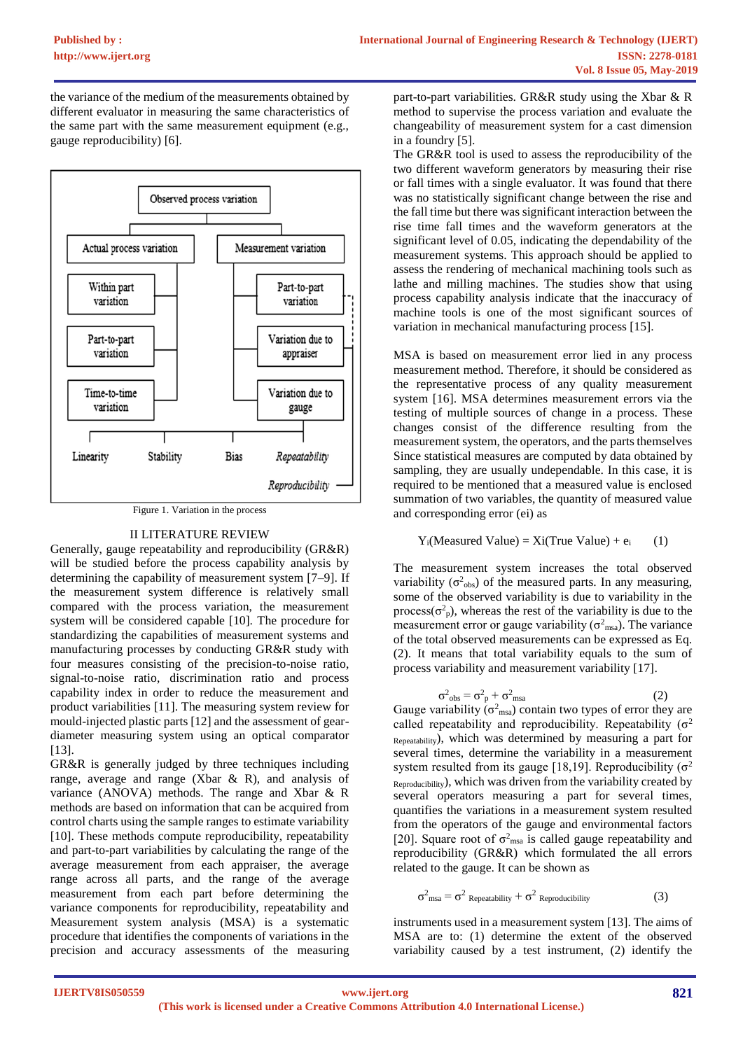the variance of the medium of the measurements obtained by different evaluator in measuring the same characteristics of the same part with the same measurement equipment (e.g., gauge reproducibility) [6].



Figure 1. Variation in the process

# II LITERATURE REVIEW

Generally, gauge repeatability and reproducibility (GR&R) will be studied before the process capability analysis by determining the capability of measurement system [7–9]. If the measurement system difference is relatively small compared with the process variation, the measurement system will be considered capable [10]. The procedure for standardizing the capabilities of measurement systems and manufacturing processes by conducting GR&R study with four measures consisting of the precision-to-noise ratio, signal-to-noise ratio, discrimination ratio and process capability index in order to reduce the measurement and product variabilities [11]. The measuring system review for mould-injected plastic parts [12] and the assessment of geardiameter measuring system using an optical comparator [13].

GR&R is generally judged by three techniques including range, average and range (Xbar & R), and analysis of variance (ANOVA) methods. The range and Xbar & R methods are based on information that can be acquired from control charts using the sample ranges to estimate variability [10]. These methods compute reproducibility, repeatability and part-to-part variabilities by calculating the range of the average measurement from each appraiser, the average range across all parts, and the range of the average measurement from each part before determining the variance components for reproducibility, repeatability and Measurement system analysis (MSA) is a systematic procedure that identifies the components of variations in the precision and accuracy assessments of the measuring part-to-part variabilities. GR&R study using the Xbar & R method to supervise the process variation and evaluate the changeability of measurement system for a cast dimension in a foundry [5].

The GR&R tool is used to assess the reproducibility of the two different waveform generators by measuring their rise or fall times with a single evaluator. It was found that there was no statistically significant change between the rise and the fall time but there was significant interaction between the rise time fall times and the waveform generators at the significant level of 0.05, indicating the dependability of the measurement systems. This approach should be applied to assess the rendering of mechanical machining tools such as lathe and milling machines. The studies show that using process capability analysis indicate that the inaccuracy of machine tools is one of the most significant sources of variation in mechanical manufacturing process [15].

MSA is based on measurement error lied in any process measurement method. Therefore, it should be considered as the representative process of any quality measurement system [16]. MSA determines measurement errors via the testing of multiple sources of change in a process. These changes consist of the difference resulting from the measurement system, the operators, and the parts themselves Since statistical measures are computed by data obtained by sampling, they are usually undependable. In this case, it is required to be mentioned that a measured value is enclosed summation of two variables, the quantity of measured value and corresponding error (ei) as

# $Y_i$ (Measured Value) = Xi(True Value) + e<sub>i</sub> (1)

The measurement system increases the total observed variability ( $\sigma^2$ <sub>obs</sub>) of the measured parts. In any measuring, some of the observed variability is due to variability in the process( $\sigma_p^2$ ), whereas the rest of the variability is due to the measurement error or gauge variability ( $\sigma^2$ <sub>msa</sub>). The variance of the total observed measurements can be expressed as Eq. (2). It means that total variability equals to the sum of process variability and measurement variability [17].

$$
\sigma_{\rm obs}^2 = \sigma_{\rm p}^2 + \sigma_{\rm msa}^2 \tag{2}
$$

Gauge variability ( $\sigma^2$ <sub>msa</sub>) contain two types of error they are called repeatability and reproducibility. Repeatability  $(\sigma^2)$ Repeatability), which was determined by measuring a part for several times, determine the variability in a measurement system resulted from its gauge [18,19]. Reproducibility ( $\sigma^2$ ) Reproducibility), which was driven from the variability created by several operators measuring a part for several times, quantifies the variations in a measurement system resulted from the operators of the gauge and environmental factors [20]. Square root of  $\sigma^2$ <sub>msa</sub> is called gauge repeatability and reproducibility (GR&R) which formulated the all errors related to the gauge. It can be shown as

$$
\sigma_{\text{msa}}^2 = \sigma^2 \text{ Repedability} + \sigma^2 \text{ Reproducibility}
$$
 (3)

instruments used in a measurement system [13]. The aims of MSA are to: (1) determine the extent of the observed variability caused by a test instrument, (2) identify the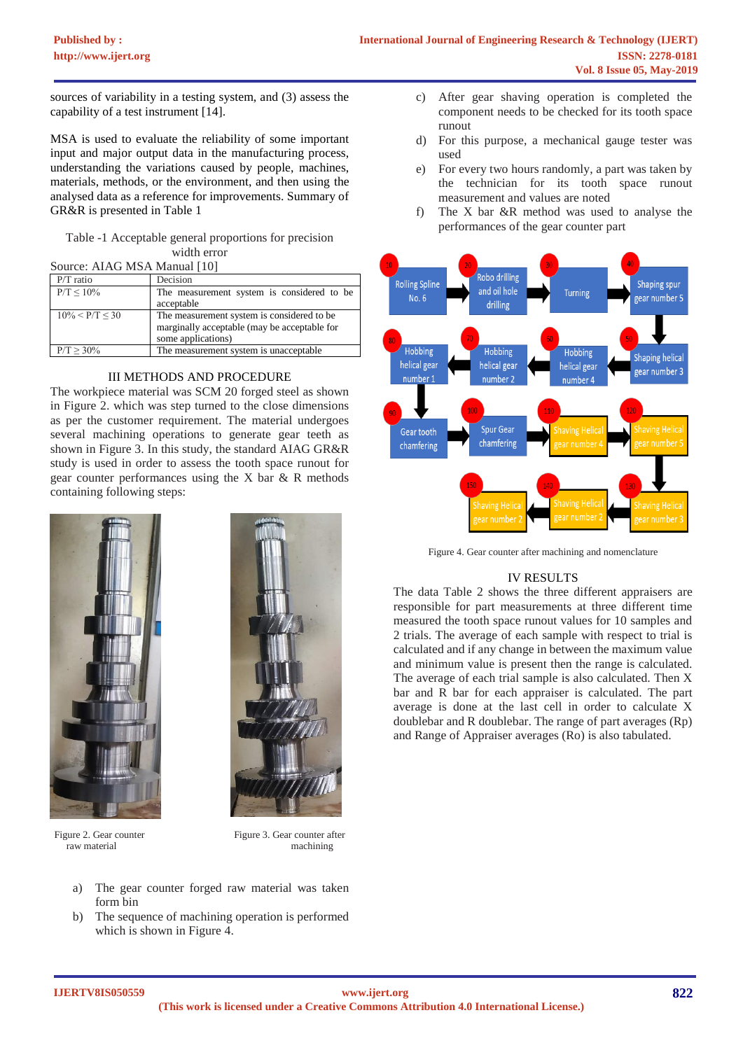sources of variability in a testing system, and (3) assess the capability of a test instrument [14].

MSA is used to evaluate the reliability of some important input and major output data in the manufacturing process, understanding the variations caused by people, machines, materials, methods, or the environment, and then using the analysed data as a reference for improvements. Summary of GR&R is presented in Table 1

# Table -1 Acceptable general proportions for precision width error

| Source: AIAG MSA Manual [10] |                                              |  |  |  |  |  |
|------------------------------|----------------------------------------------|--|--|--|--|--|
| $P/T$ ratio                  | Decision                                     |  |  |  |  |  |
| $P/T < 10\%$                 | The measurement system is considered to be   |  |  |  |  |  |
|                              | acceptable                                   |  |  |  |  |  |
| $10\% < P/T < 30$            | The measurement system is considered to be.  |  |  |  |  |  |
|                              | marginally acceptable (may be acceptable for |  |  |  |  |  |
|                              | some applications)                           |  |  |  |  |  |
| $P/T \ge 30\%$               | The measurement system is unacceptable       |  |  |  |  |  |

# III METHODS AND PROCEDURE

The workpiece material was SCM 20 forged steel as shown in Figure 2. which was step turned to the close dimensions as per the customer requirement. The material undergoes several machining operations to generate gear teeth as shown in Figure 3. In this study, the standard AIAG GR&R study is used in order to assess the tooth space runout for gear counter performances using the X bar & R methods containing following steps:





Figure 2. Gear counter Figure 3. Gear counter after raw material machining

- a) The gear counter forged raw material was taken form bin
- b) The sequence of machining operation is performed which is shown in Figure 4.
- c) After gear shaving operation is completed the component needs to be checked for its tooth space runout
- d) For this purpose, a mechanical gauge tester was used
- e) For every two hours randomly, a part was taken by the technician for its tooth space runout measurement and values are noted
- f) The X bar &R method was used to analyse the performances of the gear counter part



Figure 4. Gear counter after machining and nomenclature

# IV RESULTS

The data Table 2 shows the three different appraisers are responsible for part measurements at three different time measured the tooth space runout values for 10 samples and 2 trials. The average of each sample with respect to trial is calculated and if any change in between the maximum value and minimum value is present then the range is calculated. The average of each trial sample is also calculated. Then X bar and R bar for each appraiser is calculated. The part average is done at the last cell in order to calculate X doublebar and R doublebar. The range of part averages (Rp) and Range of Appraiser averages (Ro) is also tabulated.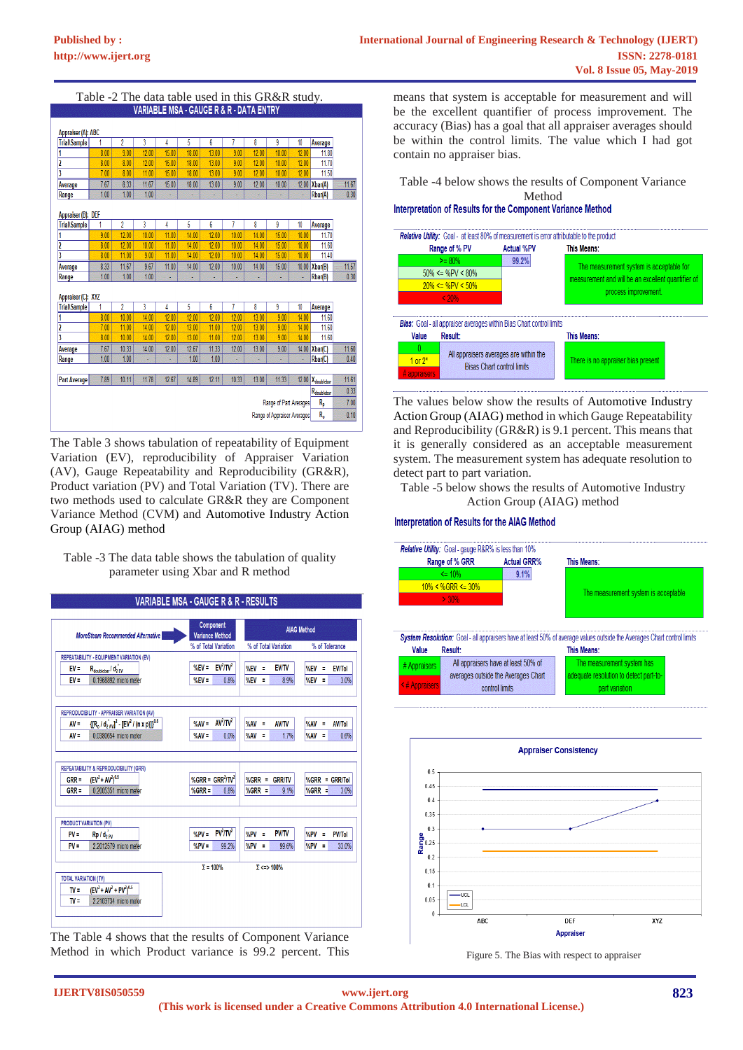| <b>Appraiser (A): ABC</b><br>2<br>3<br>5<br>7<br>8<br>4<br>6<br>9<br>10<br>1<br>Average<br>8.00<br>15.00<br>9.00<br>12.00<br>18.00<br>13.00<br>9.00<br>12.00<br>10.00<br>12.00<br>11.80<br>11.70<br>8.00<br>8.00<br>12.00<br>15.00<br>18.00<br>13.00<br>9.00<br>12.00<br>12.00<br>10.00<br>7.00<br>8.00<br>15.00<br>9.00<br>12.00<br>11.50<br>11.00<br>18.00<br>13.00<br>12.00<br>10.00<br>7.67<br>8.33<br>11.67<br>12.00<br>Xbar(A)<br>11.67<br>15.00<br>18.00<br>13.00<br>12.00<br>9.00<br>10.00<br>0.30<br>1.00<br>1.00<br>1.00<br>Rbar(A)<br>g<br>Appraiser (B): DEF<br>$\overline{2}$<br>7<br>1<br>3<br>5<br>6<br>8<br>9<br><b>Trial\Sample</b><br>4<br>10<br>Average<br>9.00<br>12.00<br>10.00<br>11.00<br>14.00<br>12.00<br>10.00<br>14.00<br>15.00<br>10.00<br>11.70<br>12.00<br>15.00<br>11.60<br>8.00<br>10.00<br>11.00<br>14.00<br>12.00<br>10.00<br>14.00<br>10.00<br>11.40<br>8.00<br>11.00<br>11.00<br>14.00<br>12.00<br>10.00<br>14.00<br>15.00<br>10.00<br>9.00<br>11.67<br>9.67<br>11.00<br>14.00<br>10.00<br>Xbar(B)<br>11.57<br>8.33<br>12.00<br>10.00<br>14.00<br>15.00<br>0.30<br>1.00<br>1.00<br>1.00<br>Rbar(B)<br>g<br>í.<br>Appraiser (C): XYZ<br>$\overline{2}$<br>3<br>5<br>6<br>7<br>8<br>g<br>10<br><b>Trial\Sample</b><br>1<br>4<br>Average<br>12.00<br>8.00<br>10.00<br>14.00<br>12.00<br>12.00<br>12.00<br>13.00<br>9.00<br>11.60<br>14.00<br>11.60<br>7.00<br>14.00<br>12.00<br>13.00<br>12.00<br>13.00<br>11.00<br>11.00<br>9.00<br>14.00<br>$\overline{\mathbf{3}}$<br>11.60<br>8.00<br>10.00<br>14.00<br>12.00<br>13.00<br>11.00<br>12.00<br>13.00<br>9.00<br>14.00<br>11.60<br>7.67<br>10.33<br>12.67<br>Xbar(C)<br>14.00<br>12.00<br>11.33<br>12.00<br>13.00<br>9.00<br>14.00<br>1.00<br>1.00<br>1.00<br>1.00<br>0.40<br>Rbar(C)<br>S,<br>¥,<br>ı,<br>×<br>г<br>11.61<br>7.89<br>10.11<br>11.78<br>12.67<br>14.89<br>12.11<br>10.33<br>13.00<br><b>Part Average</b><br>11.33<br>12.00<br>X <sub>doublebar</sub><br>0.33<br>R <sub>doublebar</sub><br>$R_{p}$<br>Range of Part Averages<br>7.00<br>R <sub>o</sub><br>0.10<br>Range of Appraiser Averages | Table -2 The data table used in this GR&R study. |  |  |  |  |  |  |  |  |  |  |
|-----------------------------------------------------------------------------------------------------------------------------------------------------------------------------------------------------------------------------------------------------------------------------------------------------------------------------------------------------------------------------------------------------------------------------------------------------------------------------------------------------------------------------------------------------------------------------------------------------------------------------------------------------------------------------------------------------------------------------------------------------------------------------------------------------------------------------------------------------------------------------------------------------------------------------------------------------------------------------------------------------------------------------------------------------------------------------------------------------------------------------------------------------------------------------------------------------------------------------------------------------------------------------------------------------------------------------------------------------------------------------------------------------------------------------------------------------------------------------------------------------------------------------------------------------------------------------------------------------------------------------------------------------------------------------------------------------------------------------------------------------------------------------------------------------------------------------------------------------------------------------------------------------------------------------------------------------------------------------------------------------------------------------------------------------------------------------------------------|--------------------------------------------------|--|--|--|--|--|--|--|--|--|--|
|                                                                                                                                                                                                                                                                                                                                                                                                                                                                                                                                                                                                                                                                                                                                                                                                                                                                                                                                                                                                                                                                                                                                                                                                                                                                                                                                                                                                                                                                                                                                                                                                                                                                                                                                                                                                                                                                                                                                                                                                                                                                                               | VARIABLE MSA - GAUGE R & R - DATA ENTRY          |  |  |  |  |  |  |  |  |  |  |
|                                                                                                                                                                                                                                                                                                                                                                                                                                                                                                                                                                                                                                                                                                                                                                                                                                                                                                                                                                                                                                                                                                                                                                                                                                                                                                                                                                                                                                                                                                                                                                                                                                                                                                                                                                                                                                                                                                                                                                                                                                                                                               |                                                  |  |  |  |  |  |  |  |  |  |  |
|                                                                                                                                                                                                                                                                                                                                                                                                                                                                                                                                                                                                                                                                                                                                                                                                                                                                                                                                                                                                                                                                                                                                                                                                                                                                                                                                                                                                                                                                                                                                                                                                                                                                                                                                                                                                                                                                                                                                                                                                                                                                                               |                                                  |  |  |  |  |  |  |  |  |  |  |
|                                                                                                                                                                                                                                                                                                                                                                                                                                                                                                                                                                                                                                                                                                                                                                                                                                                                                                                                                                                                                                                                                                                                                                                                                                                                                                                                                                                                                                                                                                                                                                                                                                                                                                                                                                                                                                                                                                                                                                                                                                                                                               | <b>Trial\Sample</b>                              |  |  |  |  |  |  |  |  |  |  |
|                                                                                                                                                                                                                                                                                                                                                                                                                                                                                                                                                                                                                                                                                                                                                                                                                                                                                                                                                                                                                                                                                                                                                                                                                                                                                                                                                                                                                                                                                                                                                                                                                                                                                                                                                                                                                                                                                                                                                                                                                                                                                               |                                                  |  |  |  |  |  |  |  |  |  |  |
|                                                                                                                                                                                                                                                                                                                                                                                                                                                                                                                                                                                                                                                                                                                                                                                                                                                                                                                                                                                                                                                                                                                                                                                                                                                                                                                                                                                                                                                                                                                                                                                                                                                                                                                                                                                                                                                                                                                                                                                                                                                                                               | 2                                                |  |  |  |  |  |  |  |  |  |  |
|                                                                                                                                                                                                                                                                                                                                                                                                                                                                                                                                                                                                                                                                                                                                                                                                                                                                                                                                                                                                                                                                                                                                                                                                                                                                                                                                                                                                                                                                                                                                                                                                                                                                                                                                                                                                                                                                                                                                                                                                                                                                                               | 3                                                |  |  |  |  |  |  |  |  |  |  |
|                                                                                                                                                                                                                                                                                                                                                                                                                                                                                                                                                                                                                                                                                                                                                                                                                                                                                                                                                                                                                                                                                                                                                                                                                                                                                                                                                                                                                                                                                                                                                                                                                                                                                                                                                                                                                                                                                                                                                                                                                                                                                               | Average                                          |  |  |  |  |  |  |  |  |  |  |
|                                                                                                                                                                                                                                                                                                                                                                                                                                                                                                                                                                                                                                                                                                                                                                                                                                                                                                                                                                                                                                                                                                                                                                                                                                                                                                                                                                                                                                                                                                                                                                                                                                                                                                                                                                                                                                                                                                                                                                                                                                                                                               | Range                                            |  |  |  |  |  |  |  |  |  |  |
|                                                                                                                                                                                                                                                                                                                                                                                                                                                                                                                                                                                                                                                                                                                                                                                                                                                                                                                                                                                                                                                                                                                                                                                                                                                                                                                                                                                                                                                                                                                                                                                                                                                                                                                                                                                                                                                                                                                                                                                                                                                                                               |                                                  |  |  |  |  |  |  |  |  |  |  |
|                                                                                                                                                                                                                                                                                                                                                                                                                                                                                                                                                                                                                                                                                                                                                                                                                                                                                                                                                                                                                                                                                                                                                                                                                                                                                                                                                                                                                                                                                                                                                                                                                                                                                                                                                                                                                                                                                                                                                                                                                                                                                               |                                                  |  |  |  |  |  |  |  |  |  |  |
|                                                                                                                                                                                                                                                                                                                                                                                                                                                                                                                                                                                                                                                                                                                                                                                                                                                                                                                                                                                                                                                                                                                                                                                                                                                                                                                                                                                                                                                                                                                                                                                                                                                                                                                                                                                                                                                                                                                                                                                                                                                                                               |                                                  |  |  |  |  |  |  |  |  |  |  |
|                                                                                                                                                                                                                                                                                                                                                                                                                                                                                                                                                                                                                                                                                                                                                                                                                                                                                                                                                                                                                                                                                                                                                                                                                                                                                                                                                                                                                                                                                                                                                                                                                                                                                                                                                                                                                                                                                                                                                                                                                                                                                               | 1                                                |  |  |  |  |  |  |  |  |  |  |
|                                                                                                                                                                                                                                                                                                                                                                                                                                                                                                                                                                                                                                                                                                                                                                                                                                                                                                                                                                                                                                                                                                                                                                                                                                                                                                                                                                                                                                                                                                                                                                                                                                                                                                                                                                                                                                                                                                                                                                                                                                                                                               | 2                                                |  |  |  |  |  |  |  |  |  |  |
|                                                                                                                                                                                                                                                                                                                                                                                                                                                                                                                                                                                                                                                                                                                                                                                                                                                                                                                                                                                                                                                                                                                                                                                                                                                                                                                                                                                                                                                                                                                                                                                                                                                                                                                                                                                                                                                                                                                                                                                                                                                                                               | 3                                                |  |  |  |  |  |  |  |  |  |  |
|                                                                                                                                                                                                                                                                                                                                                                                                                                                                                                                                                                                                                                                                                                                                                                                                                                                                                                                                                                                                                                                                                                                                                                                                                                                                                                                                                                                                                                                                                                                                                                                                                                                                                                                                                                                                                                                                                                                                                                                                                                                                                               | Average                                          |  |  |  |  |  |  |  |  |  |  |
|                                                                                                                                                                                                                                                                                                                                                                                                                                                                                                                                                                                                                                                                                                                                                                                                                                                                                                                                                                                                                                                                                                                                                                                                                                                                                                                                                                                                                                                                                                                                                                                                                                                                                                                                                                                                                                                                                                                                                                                                                                                                                               | Range                                            |  |  |  |  |  |  |  |  |  |  |
|                                                                                                                                                                                                                                                                                                                                                                                                                                                                                                                                                                                                                                                                                                                                                                                                                                                                                                                                                                                                                                                                                                                                                                                                                                                                                                                                                                                                                                                                                                                                                                                                                                                                                                                                                                                                                                                                                                                                                                                                                                                                                               |                                                  |  |  |  |  |  |  |  |  |  |  |
|                                                                                                                                                                                                                                                                                                                                                                                                                                                                                                                                                                                                                                                                                                                                                                                                                                                                                                                                                                                                                                                                                                                                                                                                                                                                                                                                                                                                                                                                                                                                                                                                                                                                                                                                                                                                                                                                                                                                                                                                                                                                                               |                                                  |  |  |  |  |  |  |  |  |  |  |
|                                                                                                                                                                                                                                                                                                                                                                                                                                                                                                                                                                                                                                                                                                                                                                                                                                                                                                                                                                                                                                                                                                                                                                                                                                                                                                                                                                                                                                                                                                                                                                                                                                                                                                                                                                                                                                                                                                                                                                                                                                                                                               |                                                  |  |  |  |  |  |  |  |  |  |  |
|                                                                                                                                                                                                                                                                                                                                                                                                                                                                                                                                                                                                                                                                                                                                                                                                                                                                                                                                                                                                                                                                                                                                                                                                                                                                                                                                                                                                                                                                                                                                                                                                                                                                                                                                                                                                                                                                                                                                                                                                                                                                                               |                                                  |  |  |  |  |  |  |  |  |  |  |
|                                                                                                                                                                                                                                                                                                                                                                                                                                                                                                                                                                                                                                                                                                                                                                                                                                                                                                                                                                                                                                                                                                                                                                                                                                                                                                                                                                                                                                                                                                                                                                                                                                                                                                                                                                                                                                                                                                                                                                                                                                                                                               | 2                                                |  |  |  |  |  |  |  |  |  |  |
|                                                                                                                                                                                                                                                                                                                                                                                                                                                                                                                                                                                                                                                                                                                                                                                                                                                                                                                                                                                                                                                                                                                                                                                                                                                                                                                                                                                                                                                                                                                                                                                                                                                                                                                                                                                                                                                                                                                                                                                                                                                                                               |                                                  |  |  |  |  |  |  |  |  |  |  |
|                                                                                                                                                                                                                                                                                                                                                                                                                                                                                                                                                                                                                                                                                                                                                                                                                                                                                                                                                                                                                                                                                                                                                                                                                                                                                                                                                                                                                                                                                                                                                                                                                                                                                                                                                                                                                                                                                                                                                                                                                                                                                               | Average                                          |  |  |  |  |  |  |  |  |  |  |
|                                                                                                                                                                                                                                                                                                                                                                                                                                                                                                                                                                                                                                                                                                                                                                                                                                                                                                                                                                                                                                                                                                                                                                                                                                                                                                                                                                                                                                                                                                                                                                                                                                                                                                                                                                                                                                                                                                                                                                                                                                                                                               | Range                                            |  |  |  |  |  |  |  |  |  |  |
|                                                                                                                                                                                                                                                                                                                                                                                                                                                                                                                                                                                                                                                                                                                                                                                                                                                                                                                                                                                                                                                                                                                                                                                                                                                                                                                                                                                                                                                                                                                                                                                                                                                                                                                                                                                                                                                                                                                                                                                                                                                                                               |                                                  |  |  |  |  |  |  |  |  |  |  |
|                                                                                                                                                                                                                                                                                                                                                                                                                                                                                                                                                                                                                                                                                                                                                                                                                                                                                                                                                                                                                                                                                                                                                                                                                                                                                                                                                                                                                                                                                                                                                                                                                                                                                                                                                                                                                                                                                                                                                                                                                                                                                               |                                                  |  |  |  |  |  |  |  |  |  |  |
|                                                                                                                                                                                                                                                                                                                                                                                                                                                                                                                                                                                                                                                                                                                                                                                                                                                                                                                                                                                                                                                                                                                                                                                                                                                                                                                                                                                                                                                                                                                                                                                                                                                                                                                                                                                                                                                                                                                                                                                                                                                                                               |                                                  |  |  |  |  |  |  |  |  |  |  |
|                                                                                                                                                                                                                                                                                                                                                                                                                                                                                                                                                                                                                                                                                                                                                                                                                                                                                                                                                                                                                                                                                                                                                                                                                                                                                                                                                                                                                                                                                                                                                                                                                                                                                                                                                                                                                                                                                                                                                                                                                                                                                               |                                                  |  |  |  |  |  |  |  |  |  |  |
|                                                                                                                                                                                                                                                                                                                                                                                                                                                                                                                                                                                                                                                                                                                                                                                                                                                                                                                                                                                                                                                                                                                                                                                                                                                                                                                                                                                                                                                                                                                                                                                                                                                                                                                                                                                                                                                                                                                                                                                                                                                                                               |                                                  |  |  |  |  |  |  |  |  |  |  |

The Table 3 shows tabulation of repeatability of Equipment Variation (EV), reproducibility of Appraiser Variation (AV), Gauge Repeatability and Reproducibility (GR&R), Product variation (PV) and Total Variation (TV). There are two methods used to calculate GR&R they are Component Variance Method (CVM) and Automotive Industry Action Group (AIAG) method

Table -3 The data table shows the tabulation of quality parameter using Xbar and R method



The Table 4 shows that the results of Component Variance Method in which Product variance is 99.2 percent. This means that system is acceptable for measurement and will be the excellent quantifier of process improvement. The accuracy (Bias) has a goal that all appraiser averages should be within the control limits. The value which I had got contain no appraiser bias.

Table -4 below shows the results of Component Variance

# Method<br>Interpretation of Results for the Component Variance Method

![](_page_3_Figure_10.jpeg)

The values below show the results of Automotive Industry Action Group (AIAG) method in which Gauge Repeatability and Reproducibility (GR&R) is 9.1 percent. This means that it is generally considered as an acceptable measurement system. The measurement system has adequate resolution to detect part to part variation.

Table -5 below shows the results of Automotive Industry Action Group (AIAG) method

#### Interpretation of Results for the AIAG Method

![](_page_3_Figure_14.jpeg)

![](_page_3_Figure_15.jpeg)

Figure 5. The Bias with respect to appraiser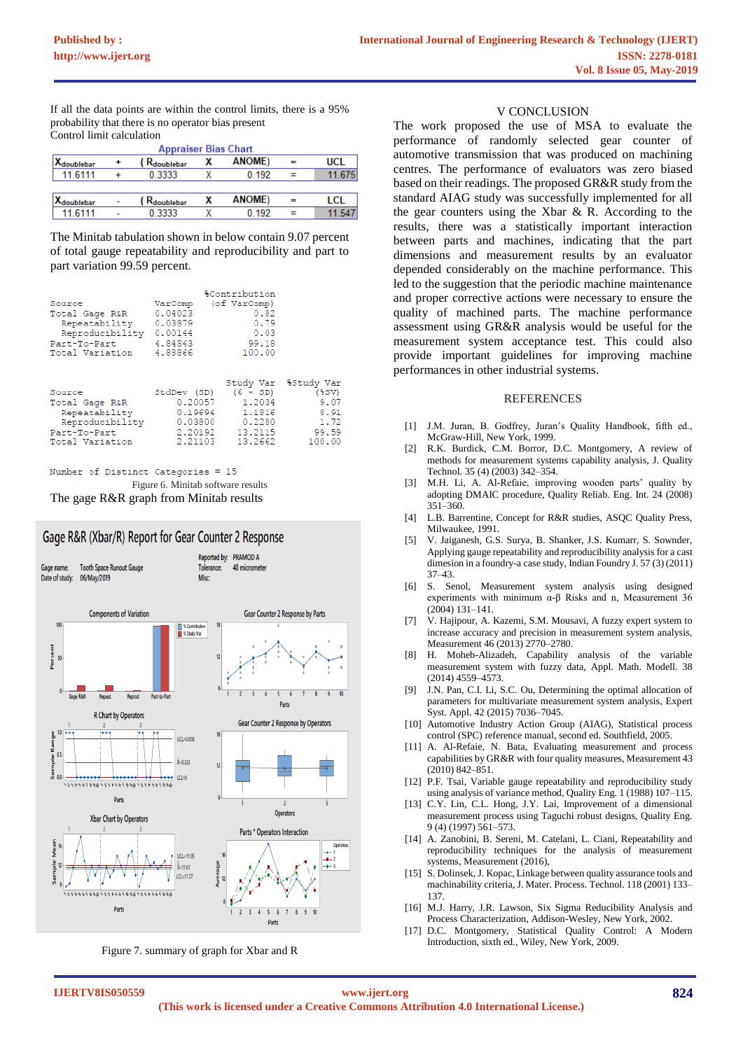If all the data points are within the control limits, there is a 95% probability that there is no operator bias present Control limit calculation

| <b>Appraiser Bias Chart</b> |   |                                        |   |                |     |            |
|-----------------------------|---|----------------------------------------|---|----------------|-----|------------|
| Xdoublebar                  | ٠ | $_4$ $\mathsf{R}_{\mathsf{doublebar}}$ |   | <b>ANOME</b> ) | =   | <b>UCL</b> |
| 11 6111                     |   | 0.3333                                 |   | 0 192          |     | 11.675     |
|                             |   |                                        |   |                |     |            |
| Xdoublebar                  | ٠ | , R <sub>doublebar</sub>               |   | <b>ANOME)</b>  | $=$ | LCL        |
| 11 6111                     | ۰ | 0.3333                                 | x | 0.192          |     | 11.54      |

The Minitab tabulation shown in below contain 9.07 percent of total gauge repeatability and reproducibility and part to part variation 99.59 percent.

|                                                                                                 | <i><b>&amp;Contribution</b></i>                         |                                                                             |                                                                            |
|-------------------------------------------------------------------------------------------------|---------------------------------------------------------|-----------------------------------------------------------------------------|----------------------------------------------------------------------------|
| Source                                                                                          | VarComp                                                 | (of VarComp)                                                                |                                                                            |
| Total Gage R&R                                                                                  | 0.04023                                                 | 0.82                                                                        |                                                                            |
| Repeatability                                                                                   | 0.03879                                                 | 0.79                                                                        |                                                                            |
| Reproducibility                                                                                 | 0.00144                                                 | 0.03                                                                        |                                                                            |
| Part-To-Part                                                                                    | 4.84843                                                 | 99.18                                                                       |                                                                            |
| Total Variation                                                                                 | 4.88866                                                 | 100.00                                                                      |                                                                            |
| Source<br>Total Gage R&R<br>Repeatability<br>Reproducibility<br>Part-To-Part<br>Total Variation | StdDev (SD)<br>0.19694<br>0.03800<br>2.20192<br>2.21103 | $(6 \times SD)$<br>0.20057 1.2034<br>1.1816<br>0.2280<br>13.2115<br>13.2662 | Study Var &Study Var<br>$(*sv)$<br>9.07<br>8.91<br>1.72<br>99.59<br>100.00 |

Number of Distinct Categories = 15 Figure 6. Minitab software results The gage R&R graph from Minitab results

![](_page_4_Figure_7.jpeg)

Figure 7. summary of graph for Xbar and R

# V CONCLUSION

The work proposed the use of MSA to evaluate the performance of randomly selected gear counter of automotive transmission that was produced on machining centres. The performance of evaluators was zero biased based on their readings. The proposed GR&R study from the standard AIAG study was successfully implemented for all the gear counters using the Xbar & R. According to the results, there was a statistically important interaction between parts and machines, indicating that the part dimensions and measurement results by an evaluator depended considerably on the machine performance. This led to the suggestion that the periodic machine maintenance and proper corrective actions were necessary to ensure the quality of machined parts. The machine performance assessment using GR&R analysis would be useful for the measurement system acceptance test. This could also provide important guidelines for improving machine performances in other industrial systems.

#### REFERENCES

- [1] J.M. Juran, B. Godfrey, Juran's Quality Handbook, fifth ed., McGraw-Hill, New York, 1999.
- [2] R.K. Burdick, C.M. Borror, D.C. Montgomery, A review of methods for measurement systems capability analysis, J. Quality Technol. 35 (4) (2003) 342–354.
- [3] M.H. Li, A. Al-Refaie, improving wooden parts' quality by adopting DMAIC procedure, Quality Reliab. Eng. Int. 24 (2008) 351–360.
- [4] L.B. Barrentine, Concept for R&R studies, ASQC Quality Press, Milwaukee, 1991.
- [5] V. Jaiganesh, G.S. Surya, B. Shanker, J.S. Kumarr, S. Sownder, Applying gauge repeatability and reproducibility analysis for a cast dimesion in a foundry-a case study, Indian Foundry J. 57 (3) (2011) 37–43.
- [6] S. Senol, Measurement system analysis using designed experiments with minimum α-β Risks and n, Measurement 36 (2004) 131–141.
- [7] V. Hajipour, A. Kazemi, S.M. Mousavi, A fuzzy expert system to increase accuracy and precision in measurement system analysis, Measurement 46 (2013) 2770–2780.
- [8] H. Moheb-Alizadeh, Capability analysis of the variable measurement system with fuzzy data, Appl. Math. Modell. 38 (2014) 4559–4573.
- [9] J.N. Pan, C.I. Li, S.C. Ou, Determining the optimal allocation of parameters for multivariate measurement system analysis, Expert Syst. Appl. 42 (2015) 7036–7045.
- [10] Automotive Industry Action Group (AIAG), Statistical process control (SPC) reference manual, second ed. Southfield, 2005.
- [11] A. Al-Refaie, N. Bata, Evaluating measurement and process capabilities by GR&R with four quality measures, Measurement 43  $(2010)$  842–851.
- [12] P.F. Tsai, Variable gauge repeatability and reproducibility study using analysis of variance method, Quality Eng. 1 (1988) 107–115.
- [13] C.Y. Lin, C.L. Hong, J.Y. Lai, Improvement of a dimensional measurement process using Taguchi robust designs, Quality Eng. 9 (4) (1997) 561–573.
- [14] A. Zanobini, B. Sereni, M. Catelani, L. Ciani, Repeatability and reproducibility techniques for the analysis of measurement systems, Measurement (2016).
- [15] S. Dolinsek, J. Kopac, Linkage between quality assurance tools and machinability criteria, J. Mater. Process. Technol. 118 (2001) 133– 137.
- [16] M.J. Harry, J.R. Lawson, Six Sigma Reducibility Analysis and Process Characterization, Addison-Wesley, New York, 2002.
- [17] D.C. Montgomery, Statistical Quality Control: A Modern Introduction, sixth ed., Wiley, New York, 2009.